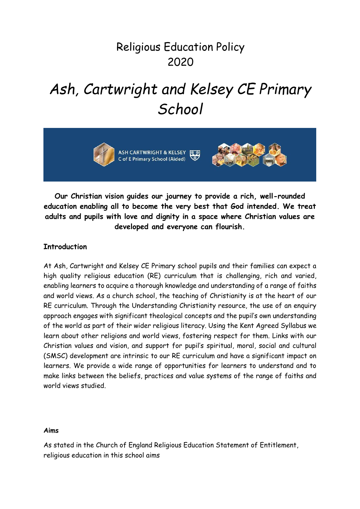# Religious Education Policy 2020

# *Ash, Cartwright and Kelsey CE Primary School*







**Our Christian vision guides our journey to provide a rich, well-rounded education enabling all to become the very best that God intended. We treat adults and pupils with love and dignity in a space where Christian values are developed and everyone can flourish.**

# **Introduction**

At Ash, Cartwright and Kelsey CE Primary school pupils and their families can expect a high quality religious education (RE) curriculum that is challenging, rich and varied, enabling learners to acquire a thorough knowledge and understanding of a range of faiths and world views. As a church school, the teaching of Christianity is at the heart of our RE curriculum. Through the Understanding Christianity resource, the use of an enquiry approach engages with significant theological concepts and the pupil's own understanding of the world as part of their wider religious literacy. Using the Kent Agreed Syllabus we learn about other religions and world views, fostering respect for them. Links with our Christian values and vision, and support for pupil's spiritual, moral, social and cultural (SMSC) development are intrinsic to our RE curriculum and have a significant impact on learners. We provide a wide range of opportunities for learners to understand and to make links between the beliefs, practices and value systems of the range of faiths and world views studied.

#### **Aims**

As stated in the Church of England Religious Education Statement of Entitlement, religious education in this school aims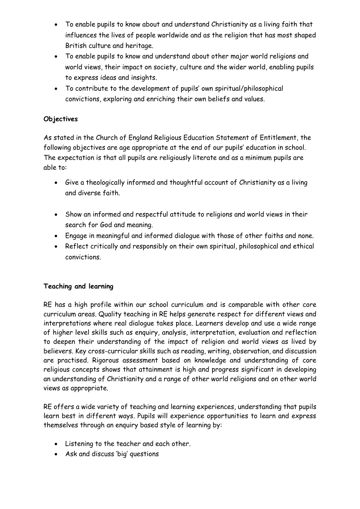- To enable pupils to know about and understand Christianity as a living faith that influences the lives of people worldwide and as the religion that has most shaped British culture and heritage.
- To enable pupils to know and understand about other major world religions and world views, their impact on society, culture and the wider world, enabling pupils to express ideas and insights.
- To contribute to the development of pupils' own spiritual/philosophical convictions, exploring and enriching their own beliefs and values.

# **Objectives**

As stated in the Church of England Religious Education Statement of Entitlement, the following objectives are age appropriate at the end of our pupils' education in school. The expectation is that all pupils are religiously literate and as a minimum pupils are able to:

- Give a theologically informed and thoughtful account of Christianity as a living and diverse faith.
- Show an informed and respectful attitude to religions and world views in their search for God and meaning.
- Engage in meaningful and informed dialogue with those of other faiths and none.
- Reflect critically and responsibly on their own spiritual, philosophical and ethical convictions.

# **Teaching and learning**

RE has a high profile within our school curriculum and is comparable with other core curriculum areas. Quality teaching in RE helps generate respect for different views and interpretations where real dialogue takes place. Learners develop and use a wide range of higher level skills such as enquiry, analysis, interpretation, evaluation and reflection to deepen their understanding of the impact of religion and world views as lived by believers. Key cross-curricular skills such as reading, writing, observation, and discussion are practised. Rigorous assessment based on knowledge and understanding of core religious concepts shows that attainment is high and progress significant in developing an understanding of Christianity and a range of other world religions and on other world views as appropriate.

RE offers a wide variety of teaching and learning experiences, understanding that pupils learn best in different ways. Pupils will experience opportunities to learn and express themselves through an enquiry based style of learning by:

- Listening to the teacher and each other.
- Ask and discuss 'big' questions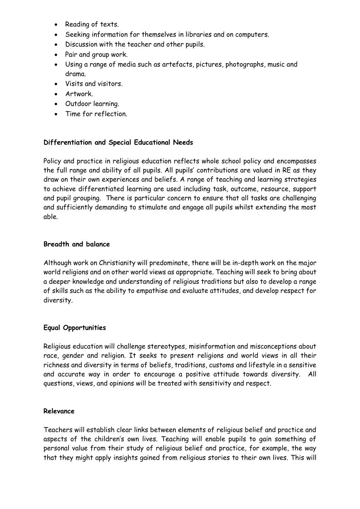- Reading of texts.
- Seeking information for themselves in libraries and on computers.
- Discussion with the teacher and other pupils.
- Pair and group work.
- Using a range of media such as artefacts, pictures, photographs, music and drama.
- Visits and visitors.
- Artwork.
- Outdoor learning.
- Time for reflection.

#### **Differentiation and Special Educational Needs**

Policy and practice in religious education reflects whole school policy and encompasses the full range and ability of all pupils. All pupils' contributions are valued in RE as they draw on their own experiences and beliefs. A range of teaching and learning strategies to achieve differentiated learning are used including task, outcome, resource, support and pupil grouping. There is particular concern to ensure that all tasks are challenging and sufficiently demanding to stimulate and engage all pupils whilst extending the most able.

#### **Breadth and balance**

Although work on Christianity will predominate, there will be in-depth work on the major world religions and on other world views as appropriate. Teaching will seek to bring about a deeper knowledge and understanding of religious traditions but also to develop a range of skills such as the ability to empathise and evaluate attitudes, and develop respect for diversity.

#### **Equal Opportunities**

Religious education will challenge stereotypes, misinformation and misconceptions about race, gender and religion. It seeks to present religions and world views in all their richness and diversity in terms of beliefs, traditions, customs and lifestyle in a sensitive and accurate way in order to encourage a positive attitude towards diversity. All questions, views, and opinions will be treated with sensitivity and respect.

#### **Relevance**

Teachers will establish clear links between elements of religious belief and practice and aspects of the children's own lives. Teaching will enable pupils to gain something of personal value from their study of religious belief and practice, for example, the way that they might apply insights gained from religious stories to their own lives. This will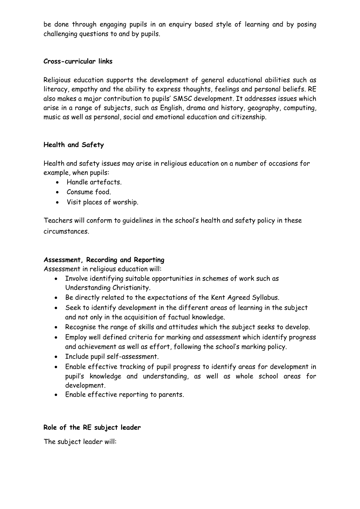be done through engaging pupils in an enquiry based style of learning and by posing challenging questions to and by pupils.

#### **Cross-curricular links**

Religious education supports the development of general educational abilities such as literacy, empathy and the ability to express thoughts, feelings and personal beliefs. RE also makes a major contribution to pupils' SMSC development. It addresses issues which arise in a range of subjects, such as English, drama and history, geography, computing, music as well as personal, social and emotional education and citizenship.

# **Health and Safety**

Health and safety issues may arise in religious education on a number of occasions for example, when pupils:

- Handle artefacts.
- Consume food.
- Visit places of worship.

Teachers will conform to guidelines in the school's health and safety policy in these circumstances.

# **Assessment, Recording and Reporting**

Assessment in religious education will:

- Involve identifying suitable opportunities in schemes of work such as Understanding Christianity.
- Be directly related to the expectations of the Kent Agreed Syllabus.
- Seek to identify development in the different areas of learning in the subject and not only in the acquisition of factual knowledge.
- Recognise the range of skills and attitudes which the subject seeks to develop.
- Employ well defined criteria for marking and assessment which identify progress and achievement as well as effort, following the school's marking policy.
- Include pupil self-assessment.
- Enable effective tracking of pupil progress to identify areas for development in pupil's knowledge and understanding, as well as whole school areas for development.
- Enable effective reporting to parents.

# **Role of the RE subject leader**

The subject leader will: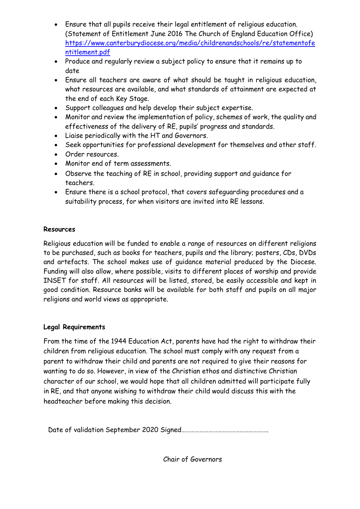- Ensure that all pupils receive their legal entitlement of religious education. (Statement of Entitlement June 2016 The Church of England Education Office) [https://www.canterburydiocese.org/media/childrenandschools/re/statementofe](https://www.canterburydiocese.org/media/childrenandschools/re/statementofentitlement.pdf) [ntitlement.pdf](https://www.canterburydiocese.org/media/childrenandschools/re/statementofentitlement.pdf)
- Produce and regularly review a subject policy to ensure that it remains up to date
- Ensure all teachers are aware of what should be taught in religious education, what resources are available, and what standards of attainment are expected at the end of each Key Stage.
- Support colleagues and help develop their subject expertise.
- Monitor and review the implementation of policy, schemes of work, the quality and effectiveness of the delivery of RE, pupils' progress and standards.
- Liaise periodically with the HT and Governors.
- Seek opportunities for professional development for themselves and other staff.
- Order resources.
- Monitor end of term assessments.
- Observe the teaching of RE in school, providing support and guidance for teachers.
- Ensure there is a school protocol, that covers safeguarding procedures and a suitability process, for when visitors are invited into RE lessons.

# **Resources**

Religious education will be funded to enable a range of resources on different religions to be purchased, such as books for teachers, pupils and the library; posters, CDs, DVDs and artefacts. The school makes use of guidance material produced by the Diocese. Funding will also allow, where possible, visits to different places of worship and provide INSET for staff. All resources will be listed, stored, be easily accessible and kept in good condition. Resource banks will be available for both staff and pupils on all major religions and world views as appropriate.

# **Legal Requirements**

From the time of the 1944 Education Act, parents have had the right to withdraw their children from religious education. The school must comply with any request from a parent to withdraw their child and parents are not required to give their reasons for wanting to do so. However, in view of the Christian ethos and distinctive Christian character of our school, we would hope that all children admitted will participate fully in RE, and that anyone wishing to withdraw their child would discuss this with the headteacher before making this decision.

Date of validation September 2020 Signed………………………………………………….

Chair of Governors